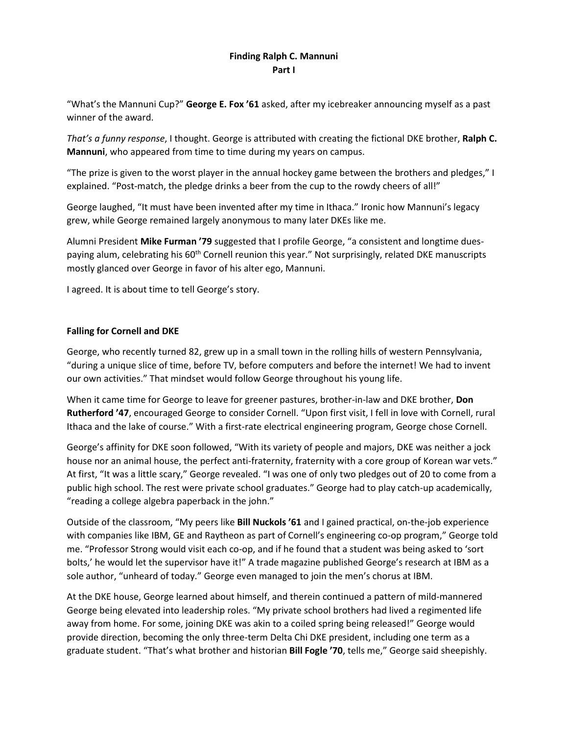## **Finding Ralph C. Mannuni Part I**

"What's the Mannuni Cup?" **George E. Fox '61** asked, after my icebreaker announcing myself as a past winner of the award.

*That's a funny response*, I thought. George is attributed with creating the fictional DKE brother, **Ralph C. Mannuni**, who appeared from time to time during my years on campus.

"The prize is given to the worst player in the annual hockey game between the brothers and pledges," I explained. "Post-match, the pledge drinks a beer from the cup to the rowdy cheers of all!"

George laughed, "It must have been invented after my time in Ithaca." Ironic how Mannuni's legacy grew, while George remained largely anonymous to many later DKEs like me.

Alumni President **Mike Furman '79** suggested that I profile George, "a consistent and longtime duespaying alum, celebrating his 60<sup>th</sup> Cornell reunion this year." Not surprisingly, related DKE manuscripts mostly glanced over George in favor of his alter ego, Mannuni.

I agreed. It is about time to tell George's story.

## **Falling for Cornell and DKE**

George, who recently turned 82, grew up in a small town in the rolling hills of western Pennsylvania, "during a unique slice of time, before TV, before computers and before the internet! We had to invent our own activities." That mindset would follow George throughout his young life.

When it came time for George to leave for greener pastures, brother-in-law and DKE brother, **Don Rutherford '47**, encouraged George to consider Cornell. "Upon first visit, I fell in love with Cornell, rural Ithaca and the lake of course." With a first-rate electrical engineering program, George chose Cornell.

George's affinity for DKE soon followed, "With its variety of people and majors, DKE was neither a jock house nor an animal house, the perfect anti-fraternity, fraternity with a core group of Korean war vets." At first, "It was a little scary," George revealed. "I was one of only two pledges out of 20 to come from a public high school. The rest were private school graduates." George had to play catch-up academically, "reading a college algebra paperback in the john."

Outside of the classroom, "My peers like **Bill Nuckols '61** and I gained practical, on-the-job experience with companies like IBM, GE and Raytheon as part of Cornell's engineering co-op program," George told me. "Professor Strong would visit each co-op, and if he found that a student was being asked to 'sort bolts,' he would let the supervisor have it!" A trade magazine published George's research at IBM as a sole author, "unheard of today." George even managed to join the men's chorus at IBM.

At the DKE house, George learned about himself, and therein continued a pattern of mild-mannered George being elevated into leadership roles. "My private school brothers had lived a regimented life away from home. For some, joining DKE was akin to a coiled spring being released!" George would provide direction, becoming the only three-term Delta Chi DKE president, including one term as a graduate student. "That's what brother and historian **Bill Fogle '70**, tells me," George said sheepishly.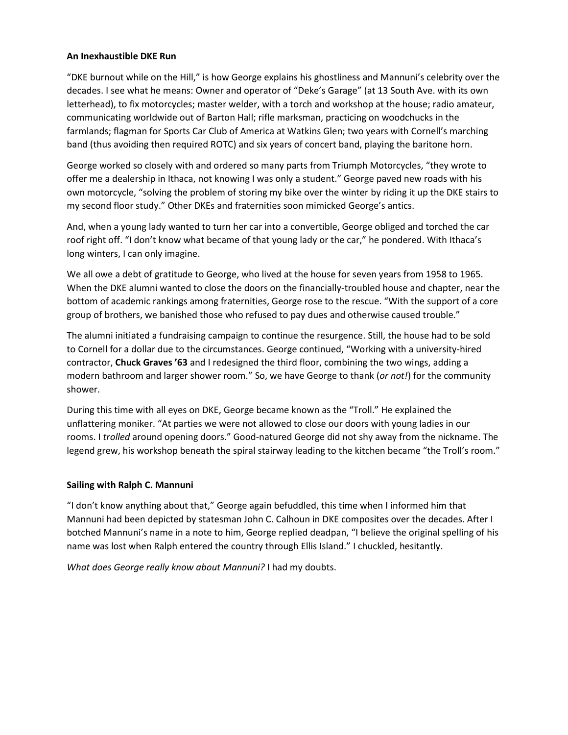### **An Inexhaustible DKE Run**

"DKE burnout while on the Hill," is how George explains his ghostliness and Mannuni's celebrity over the decades. I see what he means: Owner and operator of "Deke's Garage" (at 13 South Ave. with its own letterhead), to fix motorcycles; master welder, with a torch and workshop at the house; radio amateur, communicating worldwide out of Barton Hall; rifle marksman, practicing on woodchucks in the farmlands; flagman for Sports Car Club of America at Watkins Glen; two years with Cornell's marching band (thus avoiding then required ROTC) and six years of concert band, playing the baritone horn.

George worked so closely with and ordered so many parts from Triumph Motorcycles, "they wrote to offer me a dealership in Ithaca, not knowing I was only a student." George paved new roads with his own motorcycle, "solving the problem of storing my bike over the winter by riding it up the DKE stairs to my second floor study." Other DKEs and fraternities soon mimicked George's antics.

And, when a young lady wanted to turn her car into a convertible, George obliged and torched the car roof right off. "I don't know what became of that young lady or the car," he pondered. With Ithaca's long winters, I can only imagine.

We all owe a debt of gratitude to George, who lived at the house for seven years from 1958 to 1965. When the DKE alumni wanted to close the doors on the financially-troubled house and chapter, near the bottom of academic rankings among fraternities, George rose to the rescue. "With the support of a core group of brothers, we banished those who refused to pay dues and otherwise caused trouble."

The alumni initiated a fundraising campaign to continue the resurgence. Still, the house had to be sold to Cornell for a dollar due to the circumstances. George continued, "Working with a university-hired contractor, **Chuck Graves '63** and I redesigned the third floor, combining the two wings, adding a modern bathroom and larger shower room." So, we have George to thank (*or not!*) for the community shower.

During this time with all eyes on DKE, George became known as the "Troll." He explained the unflattering moniker. "At parties we were not allowed to close our doors with young ladies in our rooms. I *trolled* around opening doors." Good-natured George did not shy away from the nickname. The legend grew, his workshop beneath the spiral stairway leading to the kitchen became "the Troll's room."

#### **Sailing with Ralph C. Mannuni**

"I don't know anything about that," George again befuddled, this time when I informed him that Mannuni had been depicted by statesman John C. Calhoun in DKE composites over the decades. After I botched Mannuni's name in a note to him, George replied deadpan, "I believe the original spelling of his name was lost when Ralph entered the country through Ellis Island." I chuckled, hesitantly.

*What does George really know about Mannuni?* I had my doubts.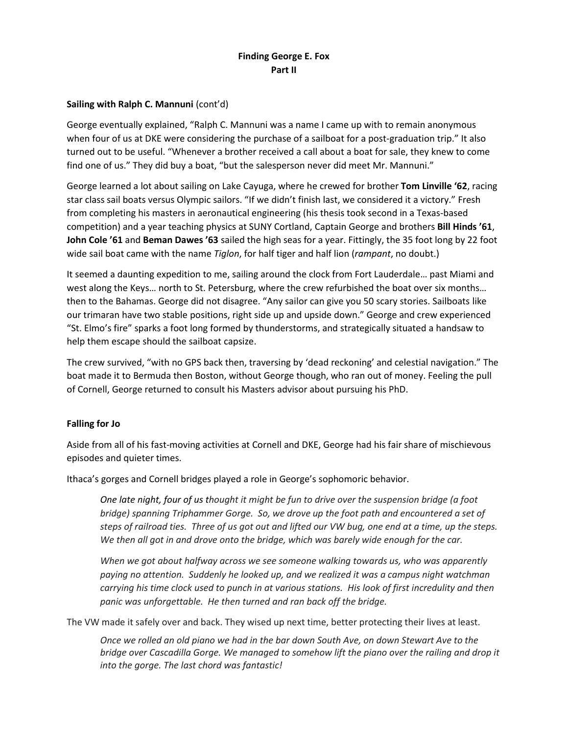# **Finding George E. Fox Part II**

## **Sailing with Ralph C. Mannuni** (cont'd)

George eventually explained, "Ralph C. Mannuni was a name I came up with to remain anonymous when four of us at DKE were considering the purchase of a sailboat for a post-graduation trip." It also turned out to be useful. "Whenever a brother received a call about a boat for sale, they knew to come find one of us." They did buy a boat, "but the salesperson never did meet Mr. Mannuni."

George learned a lot about sailing on Lake Cayuga, where he crewed for brother **Tom Linville '62**, racing star class sail boats versus Olympic sailors. "If we didn't finish last, we considered it a victory." Fresh from completing his masters in aeronautical engineering (his thesis took second in a Texas-based competition) and a year teaching physics at SUNY Cortland, Captain George and brothers **Bill Hinds '61**, **John Cole '61** and **Beman Dawes '63** sailed the high seas for a year. Fittingly, the 35 foot long by 22 foot wide sail boat came with the name *Tiglon*, for half tiger and half lion (*rampant*, no doubt.)

It seemed a daunting expedition to me, sailing around the clock from Fort Lauderdale… past Miami and west along the Keys… north to St. Petersburg, where the crew refurbished the boat over six months… then to the Bahamas. George did not disagree. "Any sailor can give you 50 scary stories. Sailboats like our trimaran have two stable positions, right side up and upside down." George and crew experienced "St. Elmo's fire" sparks a foot long formed by thunderstorms, and strategically situated a handsaw to help them escape should the sailboat capsize.

The crew survived, "with no GPS back then, traversing by 'dead reckoning' and celestial navigation." The boat made it to Bermuda then Boston, without George though, who ran out of money. Feeling the pull of Cornell, George returned to consult his Masters advisor about pursuing his PhD.

## **Falling for Jo**

Aside from all of his fast-moving activities at Cornell and DKE, George had his fair share of mischievous episodes and quieter times.

Ithaca's gorges and Cornell bridges played a role in George's sophomoric behavior.

*One late night, four of us thought it might be fun to drive over the suspension bridge (a foot bridge) spanning Triphammer Gorge. So, we drove up the foot path and encountered a set of steps of railroad ties. Three of us got out and lifted our VW bug, one end at a time, up the steps. We then all got in and drove onto the bridge, which was barely wide enough for the car.*

*When we got about halfway across we see someone walking towards us, who was apparently paying no attention. Suddenly he looked up, and we realized it was a campus night watchman carrying his time clock used to punch in at various stations. His look of first incredulity and then panic was unforgettable. He then turned and ran back off the bridge.*

The VW made it safely over and back. They wised up next time, better protecting their lives at least.

*Once we rolled an old piano we had in the bar down South Ave, on down Stewart Ave to the bridge over Cascadilla Gorge. We managed to somehow lift the piano over the railing and drop it into the gorge. The last chord was fantastic!*